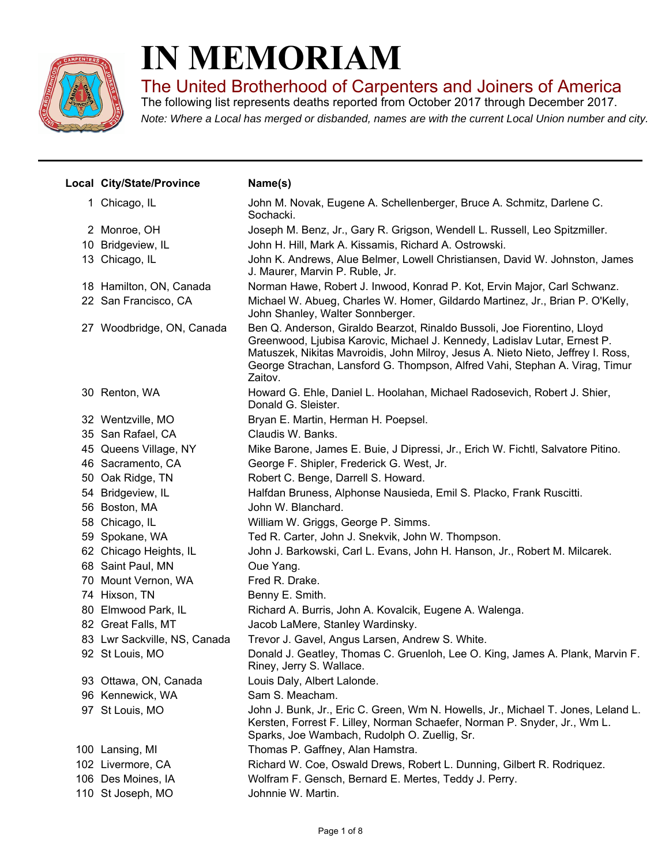

## **IN MEMORIAM**

The United Brotherhood of Carpenters and Joiners of America

*Note: Where a Local has merged or disbanded, names are with the current Local Union number and city.* The following list represents deaths reported from October 2017 through December 2017.

| Local City/State/Province    | Name(s)                                                                                                                                                                                                                                                                                                                             |
|------------------------------|-------------------------------------------------------------------------------------------------------------------------------------------------------------------------------------------------------------------------------------------------------------------------------------------------------------------------------------|
| 1 Chicago, IL                | John M. Novak, Eugene A. Schellenberger, Bruce A. Schmitz, Darlene C.<br>Sochacki.                                                                                                                                                                                                                                                  |
| 2 Monroe, OH                 | Joseph M. Benz, Jr., Gary R. Grigson, Wendell L. Russell, Leo Spitzmiller.                                                                                                                                                                                                                                                          |
| 10 Bridgeview, IL            | John H. Hill, Mark A. Kissamis, Richard A. Ostrowski.                                                                                                                                                                                                                                                                               |
| 13 Chicago, IL               | John K. Andrews, Alue Belmer, Lowell Christiansen, David W. Johnston, James<br>J. Maurer, Marvin P. Ruble, Jr.                                                                                                                                                                                                                      |
| 18 Hamilton, ON, Canada      | Norman Hawe, Robert J. Inwood, Konrad P. Kot, Ervin Major, Carl Schwanz.                                                                                                                                                                                                                                                            |
| 22 San Francisco, CA         | Michael W. Abueg, Charles W. Homer, Gildardo Martinez, Jr., Brian P. O'Kelly,<br>John Shanley, Walter Sonnberger.                                                                                                                                                                                                                   |
| 27 Woodbridge, ON, Canada    | Ben Q. Anderson, Giraldo Bearzot, Rinaldo Bussoli, Joe Fiorentino, Lloyd<br>Greenwood, Ljubisa Karovic, Michael J. Kennedy, Ladislav Lutar, Ernest P.<br>Matuszek, Nikitas Mavroidis, John Milroy, Jesus A. Nieto Nieto, Jeffrey I. Ross,<br>George Strachan, Lansford G. Thompson, Alfred Vahi, Stephan A. Virag, Timur<br>Zaitov. |
| 30 Renton, WA                | Howard G. Ehle, Daniel L. Hoolahan, Michael Radosevich, Robert J. Shier,<br>Donald G. Sleister.                                                                                                                                                                                                                                     |
| 32 Wentzville, MO            | Bryan E. Martin, Herman H. Poepsel.                                                                                                                                                                                                                                                                                                 |
| 35 San Rafael, CA            | Claudis W. Banks.                                                                                                                                                                                                                                                                                                                   |
| 45 Queens Village, NY        | Mike Barone, James E. Buie, J Dipressi, Jr., Erich W. Fichtl, Salvatore Pitino.                                                                                                                                                                                                                                                     |
| 46 Sacramento, CA            | George F. Shipler, Frederick G. West, Jr.                                                                                                                                                                                                                                                                                           |
| 50 Oak Ridge, TN             | Robert C. Benge, Darrell S. Howard.                                                                                                                                                                                                                                                                                                 |
| 54 Bridgeview, IL            | Halfdan Bruness, Alphonse Nausieda, Emil S. Placko, Frank Ruscitti.                                                                                                                                                                                                                                                                 |
| 56 Boston, MA                | John W. Blanchard.                                                                                                                                                                                                                                                                                                                  |
| 58 Chicago, IL               | William W. Griggs, George P. Simms.                                                                                                                                                                                                                                                                                                 |
| 59 Spokane, WA               | Ted R. Carter, John J. Snekvik, John W. Thompson.                                                                                                                                                                                                                                                                                   |
| 62 Chicago Heights, IL       | John J. Barkowski, Carl L. Evans, John H. Hanson, Jr., Robert M. Milcarek.                                                                                                                                                                                                                                                          |
| 68 Saint Paul, MN            | Oue Yang.                                                                                                                                                                                                                                                                                                                           |
| 70 Mount Vernon, WA          | Fred R. Drake.                                                                                                                                                                                                                                                                                                                      |
| 74 Hixson, TN                | Benny E. Smith.                                                                                                                                                                                                                                                                                                                     |
| 80 Elmwood Park, IL          | Richard A. Burris, John A. Kovalcik, Eugene A. Walenga.                                                                                                                                                                                                                                                                             |
| 82 Great Falls, MT           | Jacob LaMere, Stanley Wardinsky.                                                                                                                                                                                                                                                                                                    |
| 83 Lwr Sackville, NS, Canada | Trevor J. Gavel, Angus Larsen, Andrew S. White.                                                                                                                                                                                                                                                                                     |
| 92 St Louis, MO              | Donald J. Geatley, Thomas C. Gruenloh, Lee O. King, James A. Plank, Marvin F.<br>Riney, Jerry S. Wallace.                                                                                                                                                                                                                           |
| 93 Ottawa, ON, Canada        | Louis Daly, Albert Lalonde.                                                                                                                                                                                                                                                                                                         |
| 96 Kennewick, WA             | Sam S. Meacham.                                                                                                                                                                                                                                                                                                                     |
| 97 St Louis, MO              | John J. Bunk, Jr., Eric C. Green, Wm N. Howells, Jr., Michael T. Jones, Leland L.<br>Kersten, Forrest F. Lilley, Norman Schaefer, Norman P. Snyder, Jr., Wm L.<br>Sparks, Joe Wambach, Rudolph O. Zuellig, Sr.                                                                                                                      |
| 100 Lansing, MI              | Thomas P. Gaffney, Alan Hamstra.                                                                                                                                                                                                                                                                                                    |
| 102 Livermore, CA            | Richard W. Coe, Oswald Drews, Robert L. Dunning, Gilbert R. Rodriquez.                                                                                                                                                                                                                                                              |
| 106 Des Moines, IA           | Wolfram F. Gensch, Bernard E. Mertes, Teddy J. Perry.                                                                                                                                                                                                                                                                               |
| 110 St Joseph, MO            | Johnnie W. Martin.                                                                                                                                                                                                                                                                                                                  |
|                              |                                                                                                                                                                                                                                                                                                                                     |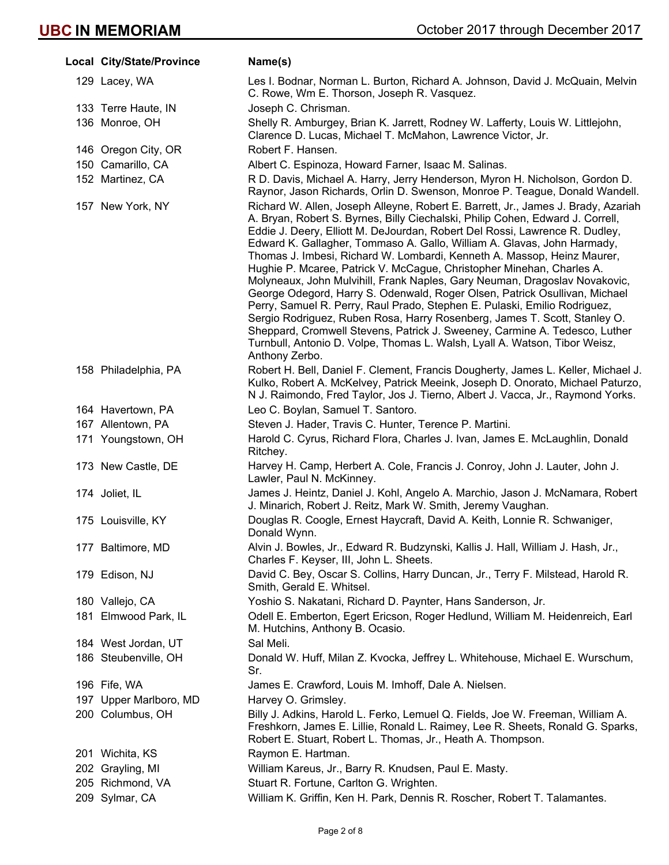| Local City/State/Province | Name(s)                                                                                                                                                                                                                                                                                                                                                                                                                                                                                                                                                                                                                                                                                                                                                                                                                                                                                                                                                                               |
|---------------------------|---------------------------------------------------------------------------------------------------------------------------------------------------------------------------------------------------------------------------------------------------------------------------------------------------------------------------------------------------------------------------------------------------------------------------------------------------------------------------------------------------------------------------------------------------------------------------------------------------------------------------------------------------------------------------------------------------------------------------------------------------------------------------------------------------------------------------------------------------------------------------------------------------------------------------------------------------------------------------------------|
| 129 Lacey, WA             | Les I. Bodnar, Norman L. Burton, Richard A. Johnson, David J. McQuain, Melvin<br>C. Rowe, Wm E. Thorson, Joseph R. Vasquez.                                                                                                                                                                                                                                                                                                                                                                                                                                                                                                                                                                                                                                                                                                                                                                                                                                                           |
| 133 Terre Haute, IN       | Joseph C. Chrisman.                                                                                                                                                                                                                                                                                                                                                                                                                                                                                                                                                                                                                                                                                                                                                                                                                                                                                                                                                                   |
| 136 Monroe, OH            | Shelly R. Amburgey, Brian K. Jarrett, Rodney W. Lafferty, Louis W. Littlejohn,<br>Clarence D. Lucas, Michael T. McMahon, Lawrence Victor, Jr.                                                                                                                                                                                                                                                                                                                                                                                                                                                                                                                                                                                                                                                                                                                                                                                                                                         |
| 146 Oregon City, OR       | Robert F. Hansen.                                                                                                                                                                                                                                                                                                                                                                                                                                                                                                                                                                                                                                                                                                                                                                                                                                                                                                                                                                     |
| 150 Camarillo, CA         | Albert C. Espinoza, Howard Farner, Isaac M. Salinas.                                                                                                                                                                                                                                                                                                                                                                                                                                                                                                                                                                                                                                                                                                                                                                                                                                                                                                                                  |
| 152 Martinez, CA          | R D. Davis, Michael A. Harry, Jerry Henderson, Myron H. Nicholson, Gordon D.<br>Raynor, Jason Richards, Orlin D. Swenson, Monroe P. Teague, Donald Wandell.                                                                                                                                                                                                                                                                                                                                                                                                                                                                                                                                                                                                                                                                                                                                                                                                                           |
| 157 New York, NY          | Richard W. Allen, Joseph Alleyne, Robert E. Barrett, Jr., James J. Brady, Azariah<br>A. Bryan, Robert S. Byrnes, Billy Ciechalski, Philip Cohen, Edward J. Correll,<br>Eddie J. Deery, Elliott M. DeJourdan, Robert Del Rossi, Lawrence R. Dudley,<br>Edward K. Gallagher, Tommaso A. Gallo, William A. Glavas, John Harmady,<br>Thomas J. Imbesi, Richard W. Lombardi, Kenneth A. Massop, Heinz Maurer,<br>Hughie P. Mcaree, Patrick V. McCague, Christopher Minehan, Charles A.<br>Molyneaux, John Mulvihill, Frank Naples, Gary Neuman, Dragoslav Novakovic,<br>George Odegord, Harry S. Odenwald, Roger Olsen, Patrick Osullivan, Michael<br>Perry, Samuel R. Perry, Raul Prado, Stephen E. Pulaski, Emilio Rodriguez,<br>Sergio Rodriguez, Ruben Rosa, Harry Rosenberg, James T. Scott, Stanley O.<br>Sheppard, Cromwell Stevens, Patrick J. Sweeney, Carmine A. Tedesco, Luther<br>Turnbull, Antonio D. Volpe, Thomas L. Walsh, Lyall A. Watson, Tibor Weisz,<br>Anthony Zerbo. |
| 158 Philadelphia, PA      | Robert H. Bell, Daniel F. Clement, Francis Dougherty, James L. Keller, Michael J.<br>Kulko, Robert A. McKelvey, Patrick Meeink, Joseph D. Onorato, Michael Paturzo,<br>N J. Raimondo, Fred Taylor, Jos J. Tierno, Albert J. Vacca, Jr., Raymond Yorks.                                                                                                                                                                                                                                                                                                                                                                                                                                                                                                                                                                                                                                                                                                                                |
| 164 Havertown, PA         | Leo C. Boylan, Samuel T. Santoro.                                                                                                                                                                                                                                                                                                                                                                                                                                                                                                                                                                                                                                                                                                                                                                                                                                                                                                                                                     |
| 167 Allentown, PA         | Steven J. Hader, Travis C. Hunter, Terence P. Martini.                                                                                                                                                                                                                                                                                                                                                                                                                                                                                                                                                                                                                                                                                                                                                                                                                                                                                                                                |
| 171 Youngstown, OH        | Harold C. Cyrus, Richard Flora, Charles J. Ivan, James E. McLaughlin, Donald<br>Ritchey.                                                                                                                                                                                                                                                                                                                                                                                                                                                                                                                                                                                                                                                                                                                                                                                                                                                                                              |
| 173 New Castle, DE        | Harvey H. Camp, Herbert A. Cole, Francis J. Conroy, John J. Lauter, John J.<br>Lawler, Paul N. McKinney.                                                                                                                                                                                                                                                                                                                                                                                                                                                                                                                                                                                                                                                                                                                                                                                                                                                                              |
| 174 Joliet, IL            | James J. Heintz, Daniel J. Kohl, Angelo A. Marchio, Jason J. McNamara, Robert<br>J. Minarich, Robert J. Reitz, Mark W. Smith, Jeremy Vaughan.                                                                                                                                                                                                                                                                                                                                                                                                                                                                                                                                                                                                                                                                                                                                                                                                                                         |
| 175 Louisville, KY        | Douglas R. Coogle, Ernest Haycraft, David A. Keith, Lonnie R. Schwaniger,<br>Donald Wynn.                                                                                                                                                                                                                                                                                                                                                                                                                                                                                                                                                                                                                                                                                                                                                                                                                                                                                             |
| 177 Baltimore, MD         | Alvin J. Bowles, Jr., Edward R. Budzynski, Kallis J. Hall, William J. Hash, Jr.,<br>Charles F. Keyser, III, John L. Sheets.                                                                                                                                                                                                                                                                                                                                                                                                                                                                                                                                                                                                                                                                                                                                                                                                                                                           |
| 179 Edison, NJ            | David C. Bey, Oscar S. Collins, Harry Duncan, Jr., Terry F. Milstead, Harold R.<br>Smith, Gerald E. Whitsel.                                                                                                                                                                                                                                                                                                                                                                                                                                                                                                                                                                                                                                                                                                                                                                                                                                                                          |
| 180 Vallejo, CA           | Yoshio S. Nakatani, Richard D. Paynter, Hans Sanderson, Jr.                                                                                                                                                                                                                                                                                                                                                                                                                                                                                                                                                                                                                                                                                                                                                                                                                                                                                                                           |
| 181 Elmwood Park, IL      | Odell E. Emberton, Egert Ericson, Roger Hedlund, William M. Heidenreich, Earl<br>M. Hutchins, Anthony B. Ocasio.                                                                                                                                                                                                                                                                                                                                                                                                                                                                                                                                                                                                                                                                                                                                                                                                                                                                      |
| 184 West Jordan, UT       | Sal Meli.                                                                                                                                                                                                                                                                                                                                                                                                                                                                                                                                                                                                                                                                                                                                                                                                                                                                                                                                                                             |
| 186 Steubenville, OH      | Donald W. Huff, Milan Z. Kvocka, Jeffrey L. Whitehouse, Michael E. Wurschum,<br>Sr.                                                                                                                                                                                                                                                                                                                                                                                                                                                                                                                                                                                                                                                                                                                                                                                                                                                                                                   |
| 196 Fife, WA              | James E. Crawford, Louis M. Imhoff, Dale A. Nielsen.                                                                                                                                                                                                                                                                                                                                                                                                                                                                                                                                                                                                                                                                                                                                                                                                                                                                                                                                  |
| 197 Upper Marlboro, MD    | Harvey O. Grimsley.                                                                                                                                                                                                                                                                                                                                                                                                                                                                                                                                                                                                                                                                                                                                                                                                                                                                                                                                                                   |
| 200 Columbus, OH          | Billy J. Adkins, Harold L. Ferko, Lemuel Q. Fields, Joe W. Freeman, William A.<br>Freshkorn, James E. Lillie, Ronald L. Raimey, Lee R. Sheets, Ronald G. Sparks,<br>Robert E. Stuart, Robert L. Thomas, Jr., Heath A. Thompson.                                                                                                                                                                                                                                                                                                                                                                                                                                                                                                                                                                                                                                                                                                                                                       |
| 201 Wichita, KS           | Raymon E. Hartman.                                                                                                                                                                                                                                                                                                                                                                                                                                                                                                                                                                                                                                                                                                                                                                                                                                                                                                                                                                    |
| 202 Grayling, MI          | William Kareus, Jr., Barry R. Knudsen, Paul E. Masty.                                                                                                                                                                                                                                                                                                                                                                                                                                                                                                                                                                                                                                                                                                                                                                                                                                                                                                                                 |
| 205 Richmond, VA          | Stuart R. Fortune, Carlton G. Wrighten.                                                                                                                                                                                                                                                                                                                                                                                                                                                                                                                                                                                                                                                                                                                                                                                                                                                                                                                                               |
| 209 Sylmar, CA            | William K. Griffin, Ken H. Park, Dennis R. Roscher, Robert T. Talamantes.                                                                                                                                                                                                                                                                                                                                                                                                                                                                                                                                                                                                                                                                                                                                                                                                                                                                                                             |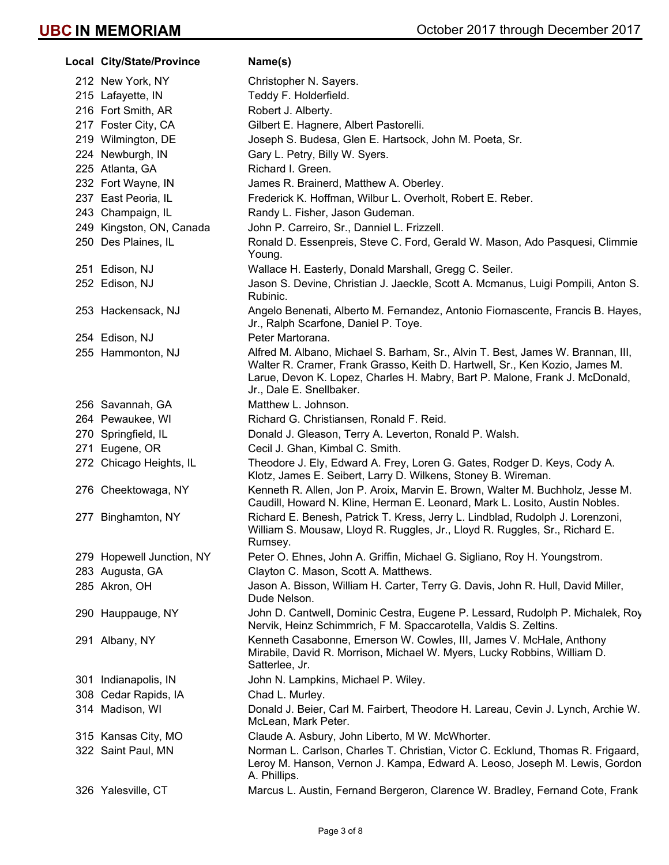| Local City/State/Province | Name(s)                                                                                                                                                                                                                                                                   |
|---------------------------|---------------------------------------------------------------------------------------------------------------------------------------------------------------------------------------------------------------------------------------------------------------------------|
| 212 New York, NY          | Christopher N. Sayers.                                                                                                                                                                                                                                                    |
| 215 Lafayette, IN         | Teddy F. Holderfield.                                                                                                                                                                                                                                                     |
| 216 Fort Smith, AR        | Robert J. Alberty.                                                                                                                                                                                                                                                        |
| 217 Foster City, CA       | Gilbert E. Hagnere, Albert Pastorelli.                                                                                                                                                                                                                                    |
| 219 Wilmington, DE        | Joseph S. Budesa, Glen E. Hartsock, John M. Poeta, Sr.                                                                                                                                                                                                                    |
| 224 Newburgh, IN          | Gary L. Petry, Billy W. Syers.                                                                                                                                                                                                                                            |
| 225 Atlanta, GA           | Richard I. Green.                                                                                                                                                                                                                                                         |
| 232 Fort Wayne, IN        | James R. Brainerd, Matthew A. Oberley.                                                                                                                                                                                                                                    |
| 237 East Peoria, IL       | Frederick K. Hoffman, Wilbur L. Overholt, Robert E. Reber.                                                                                                                                                                                                                |
| 243 Champaign, IL         | Randy L. Fisher, Jason Gudeman.                                                                                                                                                                                                                                           |
| 249 Kingston, ON, Canada  | John P. Carreiro, Sr., Danniel L. Frizzell.                                                                                                                                                                                                                               |
| 250 Des Plaines, IL       | Ronald D. Essenpreis, Steve C. Ford, Gerald W. Mason, Ado Pasquesi, Climmie<br>Young.                                                                                                                                                                                     |
| 251 Edison, NJ            | Wallace H. Easterly, Donald Marshall, Gregg C. Seiler.                                                                                                                                                                                                                    |
| 252 Edison, NJ            | Jason S. Devine, Christian J. Jaeckle, Scott A. Mcmanus, Luigi Pompili, Anton S.<br>Rubinic.                                                                                                                                                                              |
| 253 Hackensack, NJ        | Angelo Benenati, Alberto M. Fernandez, Antonio Fiornascente, Francis B. Hayes,<br>Jr., Ralph Scarfone, Daniel P. Toye.                                                                                                                                                    |
| 254 Edison, NJ            | Peter Martorana.                                                                                                                                                                                                                                                          |
| 255 Hammonton, NJ         | Alfred M. Albano, Michael S. Barham, Sr., Alvin T. Best, James W. Brannan, III,<br>Walter R. Cramer, Frank Grasso, Keith D. Hartwell, Sr., Ken Kozio, James M.<br>Larue, Devon K. Lopez, Charles H. Mabry, Bart P. Malone, Frank J. McDonald,<br>Jr., Dale E. Snellbaker. |
| 256 Savannah, GA          | Matthew L. Johnson.                                                                                                                                                                                                                                                       |
| 264 Pewaukee, WI          | Richard G. Christiansen, Ronald F. Reid.                                                                                                                                                                                                                                  |
| 270 Springfield, IL       | Donald J. Gleason, Terry A. Leverton, Ronald P. Walsh.                                                                                                                                                                                                                    |
| 271 Eugene, OR            | Cecil J. Ghan, Kimbal C. Smith.                                                                                                                                                                                                                                           |
| 272 Chicago Heights, IL   | Theodore J. Ely, Edward A. Frey, Loren G. Gates, Rodger D. Keys, Cody A.<br>Klotz, James E. Seibert, Larry D. Wilkens, Stoney B. Wireman.                                                                                                                                 |
| 276 Cheektowaga, NY       | Kenneth R. Allen, Jon P. Aroix, Marvin E. Brown, Walter M. Buchholz, Jesse M.<br>Caudill, Howard N. Kline, Herman E. Leonard, Mark L. Losito, Austin Nobles.                                                                                                              |
| 277 Binghamton, NY        | Richard E. Benesh, Patrick T. Kress, Jerry L. Lindblad, Rudolph J. Lorenzoni,<br>William S. Mousaw, Lloyd R. Ruggles, Jr., Lloyd R. Ruggles, Sr., Richard E.<br>Rumsey.                                                                                                   |
| 279 Hopewell Junction, NY | Peter O. Ehnes, John A. Griffin, Michael G. Sigliano, Roy H. Youngstrom.                                                                                                                                                                                                  |
| 283 Augusta, GA           | Clayton C. Mason, Scott A. Matthews.                                                                                                                                                                                                                                      |
| 285 Akron, OH             | Jason A. Bisson, William H. Carter, Terry G. Davis, John R. Hull, David Miller,<br>Dude Nelson.                                                                                                                                                                           |
| 290 Hauppauge, NY         | John D. Cantwell, Dominic Cestra, Eugene P. Lessard, Rudolph P. Michalek, Roy<br>Nervik, Heinz Schimmrich, F M. Spaccarotella, Valdis S. Zeltins.                                                                                                                         |
| 291 Albany, NY            | Kenneth Casabonne, Emerson W. Cowles, III, James V. McHale, Anthony<br>Mirabile, David R. Morrison, Michael W. Myers, Lucky Robbins, William D.<br>Satterlee, Jr.                                                                                                         |
| 301 Indianapolis, IN      | John N. Lampkins, Michael P. Wiley.                                                                                                                                                                                                                                       |
| 308 Cedar Rapids, IA      | Chad L. Murley.                                                                                                                                                                                                                                                           |
| 314 Madison, WI           | Donald J. Beier, Carl M. Fairbert, Theodore H. Lareau, Cevin J. Lynch, Archie W.<br>McLean, Mark Peter.                                                                                                                                                                   |
| 315 Kansas City, MO       | Claude A. Asbury, John Liberto, M W. McWhorter.                                                                                                                                                                                                                           |
| 322 Saint Paul, MN        | Norman L. Carlson, Charles T. Christian, Victor C. Ecklund, Thomas R. Frigaard,<br>Leroy M. Hanson, Vernon J. Kampa, Edward A. Leoso, Joseph M. Lewis, Gordon<br>A. Phillips.                                                                                             |
| 326 Yalesville, CT        | Marcus L. Austin, Fernand Bergeron, Clarence W. Bradley, Fernand Cote, Frank                                                                                                                                                                                              |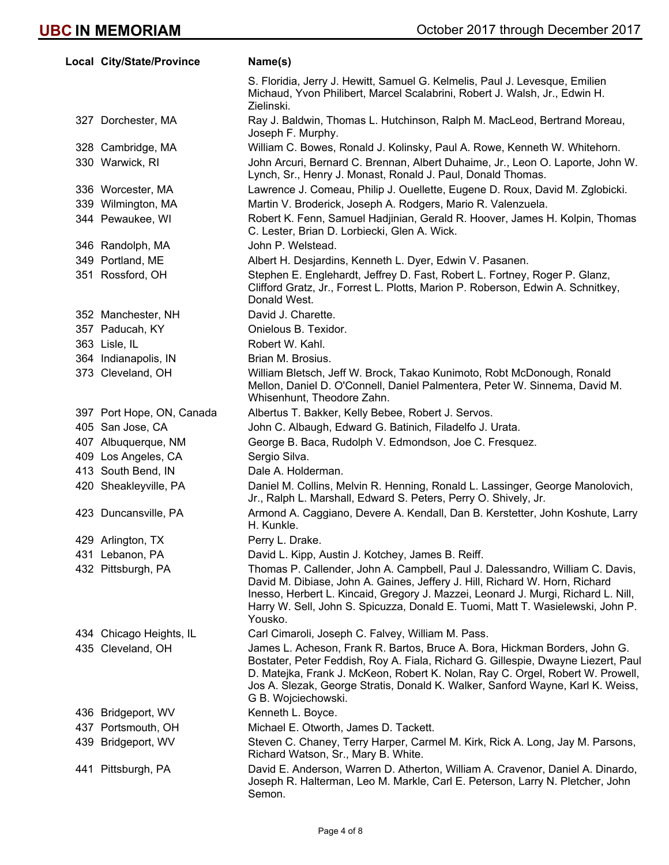| Local City/State/Province | Name(s)                                                                                                                                                                                                                                                                                                                                                    |
|---------------------------|------------------------------------------------------------------------------------------------------------------------------------------------------------------------------------------------------------------------------------------------------------------------------------------------------------------------------------------------------------|
|                           | S. Floridia, Jerry J. Hewitt, Samuel G. Kelmelis, Paul J. Levesque, Emilien<br>Michaud, Yvon Philibert, Marcel Scalabrini, Robert J. Walsh, Jr., Edwin H.<br>Zielinski.                                                                                                                                                                                    |
| 327 Dorchester, MA        | Ray J. Baldwin, Thomas L. Hutchinson, Ralph M. MacLeod, Bertrand Moreau,<br>Joseph F. Murphy.                                                                                                                                                                                                                                                              |
| 328 Cambridge, MA         | William C. Bowes, Ronald J. Kolinsky, Paul A. Rowe, Kenneth W. Whitehorn.                                                                                                                                                                                                                                                                                  |
| 330 Warwick, RI           | John Arcuri, Bernard C. Brennan, Albert Duhaime, Jr., Leon O. Laporte, John W.<br>Lynch, Sr., Henry J. Monast, Ronald J. Paul, Donald Thomas.                                                                                                                                                                                                              |
| 336 Worcester, MA         | Lawrence J. Comeau, Philip J. Ouellette, Eugene D. Roux, David M. Zglobicki.                                                                                                                                                                                                                                                                               |
| 339 Wilmington, MA        | Martin V. Broderick, Joseph A. Rodgers, Mario R. Valenzuela.                                                                                                                                                                                                                                                                                               |
| 344 Pewaukee, WI          | Robert K. Fenn, Samuel Hadjinian, Gerald R. Hoover, James H. Kolpin, Thomas<br>C. Lester, Brian D. Lorbiecki, Glen A. Wick.                                                                                                                                                                                                                                |
| 346 Randolph, MA          | John P. Welstead.                                                                                                                                                                                                                                                                                                                                          |
| 349 Portland, ME          | Albert H. Desjardins, Kenneth L. Dyer, Edwin V. Pasanen.                                                                                                                                                                                                                                                                                                   |
| 351 Rossford, OH          | Stephen E. Englehardt, Jeffrey D. Fast, Robert L. Fortney, Roger P. Glanz,<br>Clifford Gratz, Jr., Forrest L. Plotts, Marion P. Roberson, Edwin A. Schnitkey,<br>Donald West.                                                                                                                                                                              |
| 352 Manchester, NH        | David J. Charette.                                                                                                                                                                                                                                                                                                                                         |
| 357 Paducah, KY           | Onielous B. Texidor.                                                                                                                                                                                                                                                                                                                                       |
| 363 Lisle, IL             | Robert W. Kahl.                                                                                                                                                                                                                                                                                                                                            |
| 364 Indianapolis, IN      | Brian M. Brosius.                                                                                                                                                                                                                                                                                                                                          |
| 373 Cleveland, OH         | William Bletsch, Jeff W. Brock, Takao Kunimoto, Robt McDonough, Ronald<br>Mellon, Daniel D. O'Connell, Daniel Palmentera, Peter W. Sinnema, David M.<br>Whisenhunt, Theodore Zahn.                                                                                                                                                                         |
| 397 Port Hope, ON, Canada | Albertus T. Bakker, Kelly Bebee, Robert J. Servos.                                                                                                                                                                                                                                                                                                         |
| 405 San Jose, CA          | John C. Albaugh, Edward G. Batinich, Filadelfo J. Urata.                                                                                                                                                                                                                                                                                                   |
| 407 Albuquerque, NM       | George B. Baca, Rudolph V. Edmondson, Joe C. Fresquez.                                                                                                                                                                                                                                                                                                     |
| 409 Los Angeles, CA       | Sergio Silva.                                                                                                                                                                                                                                                                                                                                              |
| 413 South Bend, IN        | Dale A. Holderman.                                                                                                                                                                                                                                                                                                                                         |
| 420 Sheakleyville, PA     | Daniel M. Collins, Melvin R. Henning, Ronald L. Lassinger, George Manolovich,<br>Jr., Ralph L. Marshall, Edward S. Peters, Perry O. Shively, Jr.                                                                                                                                                                                                           |
| 423 Duncansville, PA      | Armond A. Caggiano, Devere A. Kendall, Dan B. Kerstetter, John Koshute, Larry<br>H. Kunkle.                                                                                                                                                                                                                                                                |
| 429 Arlington, TX         | Perry L. Drake.                                                                                                                                                                                                                                                                                                                                            |
| 431 Lebanon, PA           | David L. Kipp, Austin J. Kotchey, James B. Reiff.                                                                                                                                                                                                                                                                                                          |
| 432 Pittsburgh, PA        | Thomas P. Callender, John A. Campbell, Paul J. Dalessandro, William C. Davis,<br>David M. Dibiase, John A. Gaines, Jeffery J. Hill, Richard W. Horn, Richard<br>Inesso, Herbert L. Kincaid, Gregory J. Mazzei, Leonard J. Murgi, Richard L. Nill,<br>Harry W. Sell, John S. Spicuzza, Donald E. Tuomi, Matt T. Wasielewski, John P.<br>Yousko.             |
| 434 Chicago Heights, IL   | Carl Cimaroli, Joseph C. Falvey, William M. Pass.                                                                                                                                                                                                                                                                                                          |
| 435 Cleveland, OH         | James L. Acheson, Frank R. Bartos, Bruce A. Bora, Hickman Borders, John G.<br>Bostater, Peter Feddish, Roy A. Fiala, Richard G. Gillespie, Dwayne Liezert, Paul<br>D. Matejka, Frank J. McKeon, Robert K. Nolan, Ray C. Orgel, Robert W. Prowell,<br>Jos A. Slezak, George Stratis, Donald K. Walker, Sanford Wayne, Karl K. Weiss,<br>G B. Wojciechowski. |
| 436 Bridgeport, WV        | Kenneth L. Boyce.                                                                                                                                                                                                                                                                                                                                          |
| 437 Portsmouth, OH        | Michael E. Otworth, James D. Tackett.                                                                                                                                                                                                                                                                                                                      |
| 439 Bridgeport, WV        | Steven C. Chaney, Terry Harper, Carmel M. Kirk, Rick A. Long, Jay M. Parsons,<br>Richard Watson, Sr., Mary B. White.                                                                                                                                                                                                                                       |
| 441 Pittsburgh, PA        | David E. Anderson, Warren D. Atherton, William A. Cravenor, Daniel A. Dinardo,<br>Joseph R. Halterman, Leo M. Markle, Carl E. Peterson, Larry N. Pletcher, John<br>Semon.                                                                                                                                                                                  |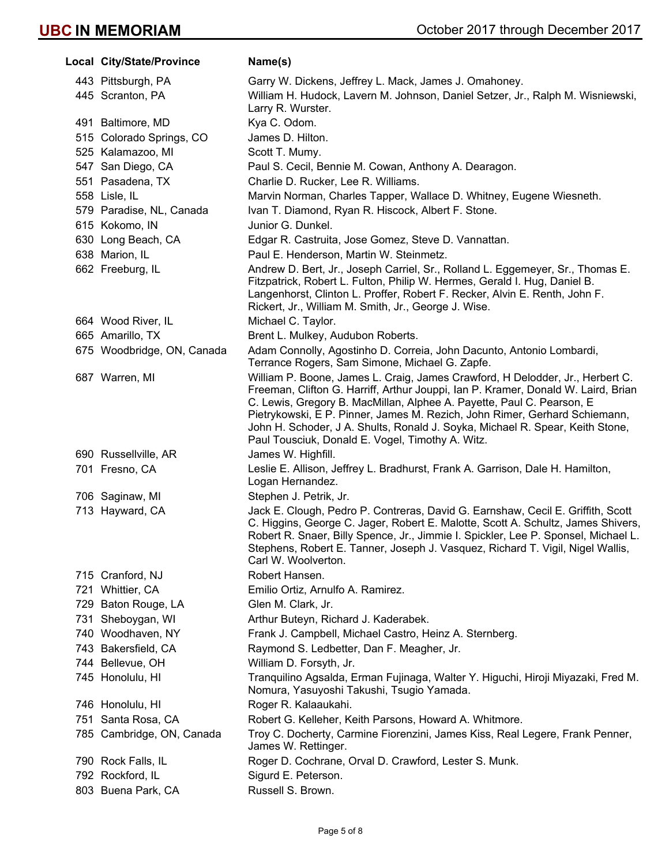| Local City/State/Province  | Name(s)                                                                                                                                                                                                                                                                                                                                                                                                                                                        |
|----------------------------|----------------------------------------------------------------------------------------------------------------------------------------------------------------------------------------------------------------------------------------------------------------------------------------------------------------------------------------------------------------------------------------------------------------------------------------------------------------|
| 443 Pittsburgh, PA         | Garry W. Dickens, Jeffrey L. Mack, James J. Omahoney.                                                                                                                                                                                                                                                                                                                                                                                                          |
| 445 Scranton, PA           | William H. Hudock, Lavern M. Johnson, Daniel Setzer, Jr., Ralph M. Wisniewski,<br>Larry R. Wurster.                                                                                                                                                                                                                                                                                                                                                            |
| 491 Baltimore, MD          | Kya C. Odom.                                                                                                                                                                                                                                                                                                                                                                                                                                                   |
| 515 Colorado Springs, CO   | James D. Hilton.                                                                                                                                                                                                                                                                                                                                                                                                                                               |
| 525 Kalamazoo, MI          | Scott T. Mumy.                                                                                                                                                                                                                                                                                                                                                                                                                                                 |
| 547 San Diego, CA          | Paul S. Cecil, Bennie M. Cowan, Anthony A. Dearagon.                                                                                                                                                                                                                                                                                                                                                                                                           |
| 551 Pasadena, TX           | Charlie D. Rucker, Lee R. Williams.                                                                                                                                                                                                                                                                                                                                                                                                                            |
| 558 Lisle, IL              | Marvin Norman, Charles Tapper, Wallace D. Whitney, Eugene Wiesneth.                                                                                                                                                                                                                                                                                                                                                                                            |
| 579 Paradise, NL, Canada   | Ivan T. Diamond, Ryan R. Hiscock, Albert F. Stone.                                                                                                                                                                                                                                                                                                                                                                                                             |
| 615 Kokomo, IN             | Junior G. Dunkel.                                                                                                                                                                                                                                                                                                                                                                                                                                              |
| 630 Long Beach, CA         | Edgar R. Castruita, Jose Gomez, Steve D. Vannattan.                                                                                                                                                                                                                                                                                                                                                                                                            |
| 638 Marion, IL             | Paul E. Henderson, Martin W. Steinmetz.                                                                                                                                                                                                                                                                                                                                                                                                                        |
| 662 Freeburg, IL           | Andrew D. Bert, Jr., Joseph Carriel, Sr., Rolland L. Eggemeyer, Sr., Thomas E.<br>Fitzpatrick, Robert L. Fulton, Philip W. Hermes, Gerald I. Hug, Daniel B.<br>Langenhorst, Clinton L. Proffer, Robert F. Recker, Alvin E. Renth, John F.<br>Rickert, Jr., William M. Smith, Jr., George J. Wise.                                                                                                                                                              |
| 664 Wood River, IL         | Michael C. Taylor.                                                                                                                                                                                                                                                                                                                                                                                                                                             |
| 665 Amarillo, TX           | Brent L. Mulkey, Audubon Roberts.                                                                                                                                                                                                                                                                                                                                                                                                                              |
| 675 Woodbridge, ON, Canada | Adam Connolly, Agostinho D. Correia, John Dacunto, Antonio Lombardi,<br>Terrance Rogers, Sam Simone, Michael G. Zapfe.                                                                                                                                                                                                                                                                                                                                         |
| 687 Warren, MI             | William P. Boone, James L. Craig, James Crawford, H Delodder, Jr., Herbert C.<br>Freeman, Clifton G. Harriff, Arthur Jouppi, Ian P. Kramer, Donald W. Laird, Brian<br>C. Lewis, Gregory B. MacMillan, Alphee A. Payette, Paul C. Pearson, E<br>Pietrykowski, E P. Pinner, James M. Rezich, John Rimer, Gerhard Schiemann,<br>John H. Schoder, J A. Shults, Ronald J. Soyka, Michael R. Spear, Keith Stone,<br>Paul Tousciuk, Donald E. Vogel, Timothy A. Witz. |
| 690 Russellville, AR       | James W. Highfill.                                                                                                                                                                                                                                                                                                                                                                                                                                             |
| 701 Fresno, CA             | Leslie E. Allison, Jeffrey L. Bradhurst, Frank A. Garrison, Dale H. Hamilton,<br>Logan Hernandez.                                                                                                                                                                                                                                                                                                                                                              |
| 706 Saginaw, MI            | Stephen J. Petrik, Jr.                                                                                                                                                                                                                                                                                                                                                                                                                                         |
| 713 Hayward, CA            | Jack E. Clough, Pedro P. Contreras, David G. Earnshaw, Cecil E. Griffith, Scott<br>C. Higgins, George C. Jager, Robert E. Malotte, Scott A. Schultz, James Shivers,<br>Robert R. Snaer, Billy Spence, Jr., Jimmie I. Spickler, Lee P. Sponsel, Michael L.<br>Stephens, Robert E. Tanner, Joseph J. Vasquez, Richard T. Vigil, Nigel Wallis,<br>Carl W. Woolverton.                                                                                             |
| 715 Cranford, NJ           | Robert Hansen.                                                                                                                                                                                                                                                                                                                                                                                                                                                 |
| 721 Whittier, CA           | Emilio Ortiz, Arnulfo A. Ramirez.                                                                                                                                                                                                                                                                                                                                                                                                                              |
| 729 Baton Rouge, LA        | Glen M. Clark, Jr.                                                                                                                                                                                                                                                                                                                                                                                                                                             |
| 731 Sheboygan, WI          | Arthur Buteyn, Richard J. Kaderabek.                                                                                                                                                                                                                                                                                                                                                                                                                           |
| 740 Woodhaven, NY          | Frank J. Campbell, Michael Castro, Heinz A. Sternberg.                                                                                                                                                                                                                                                                                                                                                                                                         |
| 743 Bakersfield, CA        | Raymond S. Ledbetter, Dan F. Meagher, Jr.                                                                                                                                                                                                                                                                                                                                                                                                                      |
| 744 Bellevue, OH           | William D. Forsyth, Jr.                                                                                                                                                                                                                                                                                                                                                                                                                                        |
| 745 Honolulu, HI           | Tranquilino Agsalda, Erman Fujinaga, Walter Y. Higuchi, Hiroji Miyazaki, Fred M.<br>Nomura, Yasuyoshi Takushi, Tsugio Yamada.                                                                                                                                                                                                                                                                                                                                  |
| 746 Honolulu, HI           | Roger R. Kalaaukahi.                                                                                                                                                                                                                                                                                                                                                                                                                                           |
| 751 Santa Rosa, CA         | Robert G. Kelleher, Keith Parsons, Howard A. Whitmore.                                                                                                                                                                                                                                                                                                                                                                                                         |
| 785 Cambridge, ON, Canada  | Troy C. Docherty, Carmine Fiorenzini, James Kiss, Real Legere, Frank Penner,<br>James W. Rettinger.                                                                                                                                                                                                                                                                                                                                                            |
| 790 Rock Falls, IL         | Roger D. Cochrane, Orval D. Crawford, Lester S. Munk.                                                                                                                                                                                                                                                                                                                                                                                                          |
| 792 Rockford, IL           | Sigurd E. Peterson.                                                                                                                                                                                                                                                                                                                                                                                                                                            |
| 803 Buena Park, CA         | Russell S. Brown.                                                                                                                                                                                                                                                                                                                                                                                                                                              |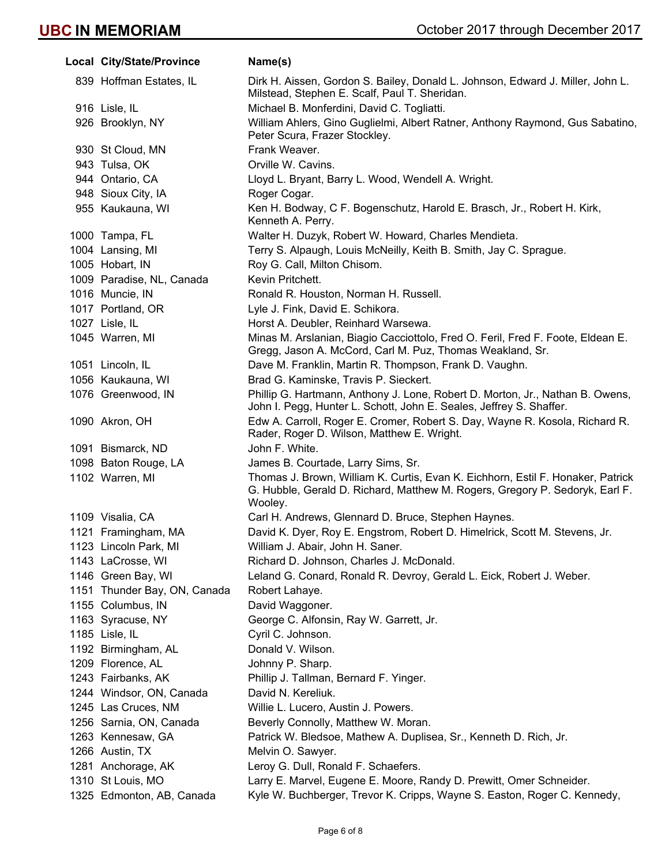| Local City/State/Province    | Name(s)                                                                                                                                                                    |
|------------------------------|----------------------------------------------------------------------------------------------------------------------------------------------------------------------------|
| 839 Hoffman Estates, IL      | Dirk H. Aissen, Gordon S. Bailey, Donald L. Johnson, Edward J. Miller, John L.<br>Milstead, Stephen E. Scalf, Paul T. Sheridan.                                            |
| 916 Lisle, IL                | Michael B. Monferdini, David C. Togliatti.                                                                                                                                 |
| 926 Brooklyn, NY             | William Ahlers, Gino Guglielmi, Albert Ratner, Anthony Raymond, Gus Sabatino,<br>Peter Scura, Frazer Stockley.                                                             |
| 930 St Cloud, MN             | Frank Weaver.                                                                                                                                                              |
| 943 Tulsa, OK                | Orville W. Cavins.                                                                                                                                                         |
| 944 Ontario, CA              | Lloyd L. Bryant, Barry L. Wood, Wendell A. Wright.                                                                                                                         |
| 948 Sioux City, IA           | Roger Cogar.                                                                                                                                                               |
| 955 Kaukauna, WI             | Ken H. Bodway, C F. Bogenschutz, Harold E. Brasch, Jr., Robert H. Kirk,<br>Kenneth A. Perry.                                                                               |
| 1000 Tampa, FL               | Walter H. Duzyk, Robert W. Howard, Charles Mendieta.                                                                                                                       |
| 1004 Lansing, MI             | Terry S. Alpaugh, Louis McNeilly, Keith B. Smith, Jay C. Sprague.                                                                                                          |
| 1005 Hobart, IN              | Roy G. Call, Milton Chisom.                                                                                                                                                |
| 1009 Paradise, NL, Canada    | Kevin Pritchett.                                                                                                                                                           |
| 1016 Muncie, IN              | Ronald R. Houston, Norman H. Russell.                                                                                                                                      |
| 1017 Portland, OR            | Lyle J. Fink, David E. Schikora.                                                                                                                                           |
| 1027 Lisle, IL               | Horst A. Deubler, Reinhard Warsewa.                                                                                                                                        |
| 1045 Warren, MI              | Minas M. Arslanian, Biagio Cacciottolo, Fred O. Feril, Fred F. Foote, Eldean E.<br>Gregg, Jason A. McCord, Carl M. Puz, Thomas Weakland, Sr.                               |
| 1051 Lincoln, IL             | Dave M. Franklin, Martin R. Thompson, Frank D. Vaughn.                                                                                                                     |
| 1056 Kaukauna, WI            | Brad G. Kaminske, Travis P. Sieckert.                                                                                                                                      |
| 1076 Greenwood, IN           | Phillip G. Hartmann, Anthony J. Lone, Robert D. Morton, Jr., Nathan B. Owens,<br>John I. Pegg, Hunter L. Schott, John E. Seales, Jeffrey S. Shaffer.                       |
| 1090 Akron, OH               | Edw A. Carroll, Roger E. Cromer, Robert S. Day, Wayne R. Kosola, Richard R.<br>Rader, Roger D. Wilson, Matthew E. Wright.                                                  |
| 1091 Bismarck, ND            | John F. White.                                                                                                                                                             |
| 1098 Baton Rouge, LA         | James B. Courtade, Larry Sims, Sr.                                                                                                                                         |
| 1102 Warren, MI              | Thomas J. Brown, William K. Curtis, Evan K. Eichhorn, Estil F. Honaker, Patrick<br>G. Hubble, Gerald D. Richard, Matthew M. Rogers, Gregory P. Sedoryk, Earl F.<br>Wooley. |
| 1109 Visalia, CA             | Carl H. Andrews, Glennard D. Bruce, Stephen Haynes.                                                                                                                        |
| 1121 Framingham, MA          | David K. Dyer, Roy E. Engstrom, Robert D. Himelrick, Scott M. Stevens, Jr.                                                                                                 |
| 1123 Lincoln Park, MI        | William J. Abair, John H. Saner.                                                                                                                                           |
| 1143 LaCrosse, WI            | Richard D. Johnson, Charles J. McDonald.                                                                                                                                   |
| 1146 Green Bay, WI           | Leland G. Conard, Ronald R. Devroy, Gerald L. Eick, Robert J. Weber.                                                                                                       |
| 1151 Thunder Bay, ON, Canada | Robert Lahaye.                                                                                                                                                             |
| 1155 Columbus, IN            | David Waggoner.                                                                                                                                                            |
| 1163 Syracuse, NY            | George C. Alfonsin, Ray W. Garrett, Jr.                                                                                                                                    |
| 1185 Lisle, IL               | Cyril C. Johnson.                                                                                                                                                          |
| 1192 Birmingham, AL          | Donald V. Wilson.                                                                                                                                                          |
| 1209 Florence, AL            | Johnny P. Sharp.                                                                                                                                                           |
| 1243 Fairbanks, AK           | Phillip J. Tallman, Bernard F. Yinger.                                                                                                                                     |
| 1244 Windsor, ON, Canada     | David N. Kereliuk.                                                                                                                                                         |
| 1245 Las Cruces, NM          | Willie L. Lucero, Austin J. Powers.                                                                                                                                        |
| 1256 Sarnia, ON, Canada      | Beverly Connolly, Matthew W. Moran.                                                                                                                                        |
| 1263 Kennesaw, GA            | Patrick W. Bledsoe, Mathew A. Duplisea, Sr., Kenneth D. Rich, Jr.                                                                                                          |
| 1266 Austin, TX              | Melvin O. Sawyer.                                                                                                                                                          |
| 1281 Anchorage, AK           | Leroy G. Dull, Ronald F. Schaefers.                                                                                                                                        |
| 1310 St Louis, MO            | Larry E. Marvel, Eugene E. Moore, Randy D. Prewitt, Omer Schneider.                                                                                                        |
| 1325 Edmonton, AB, Canada    | Kyle W. Buchberger, Trevor K. Cripps, Wayne S. Easton, Roger C. Kennedy,                                                                                                   |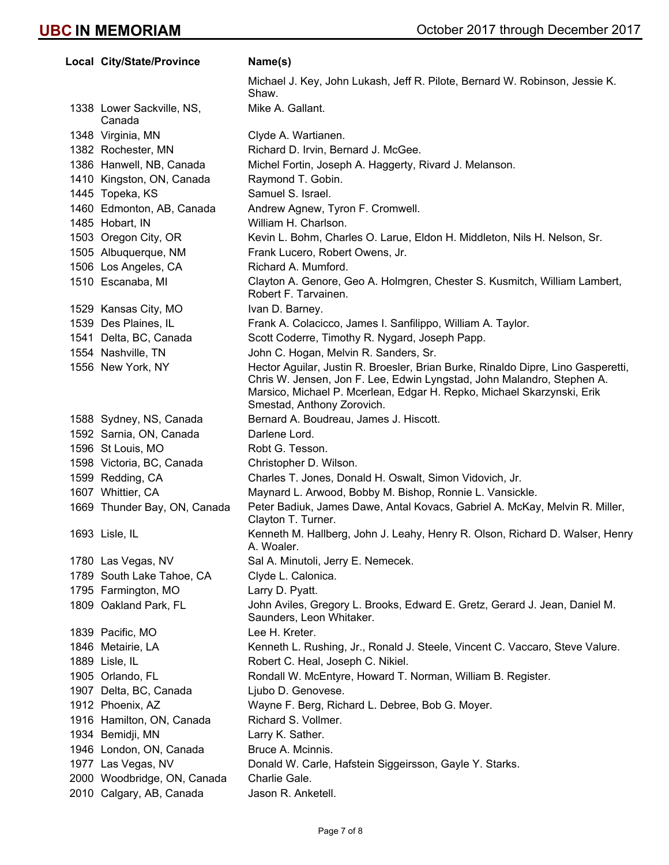| <b>Local City/State/Province</b>    | Name(s)                                                                                                                                                                                                                                                            |
|-------------------------------------|--------------------------------------------------------------------------------------------------------------------------------------------------------------------------------------------------------------------------------------------------------------------|
|                                     | Michael J. Key, John Lukash, Jeff R. Pilote, Bernard W. Robinson, Jessie K.<br>Shaw.                                                                                                                                                                               |
| 1338 Lower Sackville, NS,<br>Canada | Mike A. Gallant.                                                                                                                                                                                                                                                   |
| 1348 Virginia, MN                   | Clyde A. Wartianen.                                                                                                                                                                                                                                                |
| 1382 Rochester, MN                  | Richard D. Irvin, Bernard J. McGee.                                                                                                                                                                                                                                |
| 1386 Hanwell, NB, Canada            | Michel Fortin, Joseph A. Haggerty, Rivard J. Melanson.                                                                                                                                                                                                             |
| 1410 Kingston, ON, Canada           | Raymond T. Gobin.                                                                                                                                                                                                                                                  |
| 1445 Topeka, KS                     | Samuel S. Israel.                                                                                                                                                                                                                                                  |
| 1460 Edmonton, AB, Canada           | Andrew Agnew, Tyron F. Cromwell.                                                                                                                                                                                                                                   |
| 1485 Hobart, IN                     | William H. Charlson.                                                                                                                                                                                                                                               |
| 1503 Oregon City, OR                | Kevin L. Bohm, Charles O. Larue, Eldon H. Middleton, Nils H. Nelson, Sr.                                                                                                                                                                                           |
| 1505 Albuquerque, NM                | Frank Lucero, Robert Owens, Jr.                                                                                                                                                                                                                                    |
| 1506 Los Angeles, CA                | Richard A. Mumford.                                                                                                                                                                                                                                                |
| 1510 Escanaba, MI                   | Clayton A. Genore, Geo A. Holmgren, Chester S. Kusmitch, William Lambert,<br>Robert F. Tarvainen.                                                                                                                                                                  |
| 1529 Kansas City, MO                | Ivan D. Barney.                                                                                                                                                                                                                                                    |
| 1539 Des Plaines, IL                | Frank A. Colacicco, James I. Sanfilippo, William A. Taylor.                                                                                                                                                                                                        |
| 1541 Delta, BC, Canada              | Scott Coderre, Timothy R. Nygard, Joseph Papp.                                                                                                                                                                                                                     |
| 1554 Nashville, TN                  | John C. Hogan, Melvin R. Sanders, Sr.                                                                                                                                                                                                                              |
| 1556 New York, NY                   | Hector Aguilar, Justin R. Broesler, Brian Burke, Rinaldo Dipre, Lino Gasperetti,<br>Chris W. Jensen, Jon F. Lee, Edwin Lyngstad, John Malandro, Stephen A.<br>Marsico, Michael P. Mcerlean, Edgar H. Repko, Michael Skarzynski, Erik<br>Smestad, Anthony Zorovich. |
| 1588 Sydney, NS, Canada             | Bernard A. Boudreau, James J. Hiscott.                                                                                                                                                                                                                             |
| 1592 Sarnia, ON, Canada             | Darlene Lord.                                                                                                                                                                                                                                                      |
| 1596 St Louis, MO                   | Robt G. Tesson.                                                                                                                                                                                                                                                    |
| 1598 Victoria, BC, Canada           | Christopher D. Wilson.                                                                                                                                                                                                                                             |
| 1599 Redding, CA                    | Charles T. Jones, Donald H. Oswalt, Simon Vidovich, Jr.                                                                                                                                                                                                            |
| 1607 Whittier, CA                   | Maynard L. Arwood, Bobby M. Bishop, Ronnie L. Vansickle.                                                                                                                                                                                                           |
| 1669 Thunder Bay, ON, Canada        | Peter Badiuk, James Dawe, Antal Kovacs, Gabriel A. McKay, Melvin R. Miller,<br>Clayton T. Turner.                                                                                                                                                                  |
| 1693 Lisle, IL                      | Kenneth M. Hallberg, John J. Leahy, Henry R. Olson, Richard D. Walser, Henry<br>A. Woaler.                                                                                                                                                                         |
| 1780 Las Vegas, NV                  | Sal A. Minutoli, Jerry E. Nemecek.                                                                                                                                                                                                                                 |
| 1789 South Lake Tahoe, CA           | Clyde L. Calonica.                                                                                                                                                                                                                                                 |
| 1795 Farmington, MO                 | Larry D. Pyatt.                                                                                                                                                                                                                                                    |
| 1809 Oakland Park, FL               | John Aviles, Gregory L. Brooks, Edward E. Gretz, Gerard J. Jean, Daniel M.<br>Saunders, Leon Whitaker.                                                                                                                                                             |
| 1839 Pacific, MO                    | Lee H. Kreter.                                                                                                                                                                                                                                                     |
| 1846 Metairie, LA                   | Kenneth L. Rushing, Jr., Ronald J. Steele, Vincent C. Vaccaro, Steve Valure.                                                                                                                                                                                       |
| 1889 Lisle, IL                      | Robert C. Heal, Joseph C. Nikiel.                                                                                                                                                                                                                                  |
| 1905 Orlando, FL                    | Rondall W. McEntyre, Howard T. Norman, William B. Register.                                                                                                                                                                                                        |
| 1907 Delta, BC, Canada              | Ljubo D. Genovese.                                                                                                                                                                                                                                                 |
| 1912 Phoenix, AZ                    | Wayne F. Berg, Richard L. Debree, Bob G. Moyer.                                                                                                                                                                                                                    |
| 1916 Hamilton, ON, Canada           | Richard S. Vollmer.                                                                                                                                                                                                                                                |
| 1934 Bemidji, MN                    | Larry K. Sather.                                                                                                                                                                                                                                                   |
| 1946 London, ON, Canada             | Bruce A. Mcinnis.                                                                                                                                                                                                                                                  |
| 1977 Las Vegas, NV                  | Donald W. Carle, Hafstein Siggeirsson, Gayle Y. Starks.                                                                                                                                                                                                            |
| 2000 Woodbridge, ON, Canada         | Charlie Gale.                                                                                                                                                                                                                                                      |
| 2010 Calgary, AB, Canada            | Jason R. Anketell.                                                                                                                                                                                                                                                 |